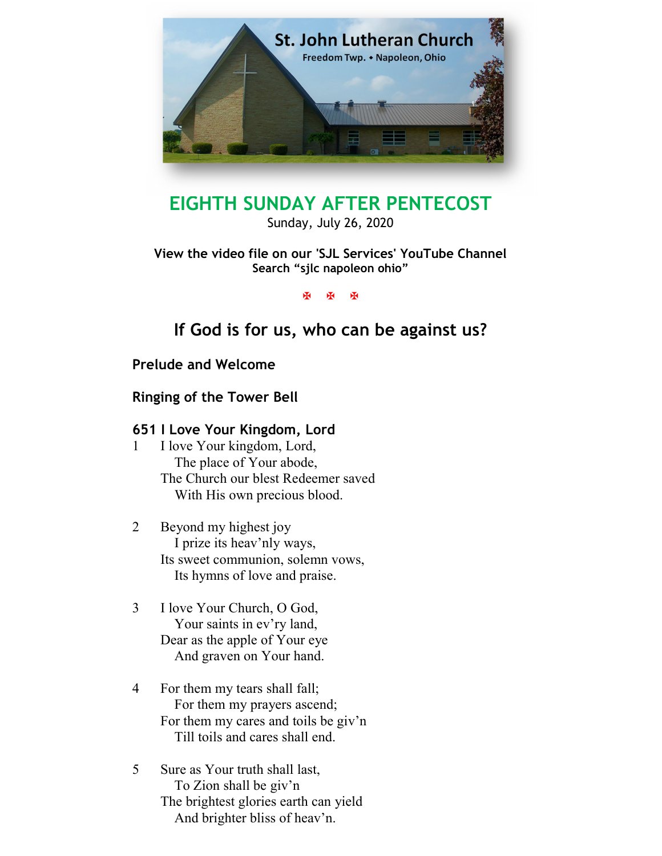

# EIGHTH SUNDAY AFTER PENTECOST

Sunday, July 26, 2020

# View the video file on our 'SJL Services' YouTube Channel Search "sjlc napoleon ohio"

**K K K** 

# If God is for us, who can be against us?

Prelude and Welcome

Ringing of the Tower Bell

# 651 I Love Your Kingdom, Lord

- 1 I love Your kingdom, Lord, The place of Your abode, The Church our blest Redeemer saved With His own precious blood.
- 2 Beyond my highest joy I prize its heav'nly ways, Its sweet communion, solemn vows, Its hymns of love and praise.
- 3 I love Your Church, O God, Your saints in ev'ry land, Dear as the apple of Your eye And graven on Your hand.
- 4 For them my tears shall fall; For them my prayers ascend; For them my cares and toils be giv'n Till toils and cares shall end.
- 5 Sure as Your truth shall last, To Zion shall be giv'n The brightest glories earth can yield And brighter bliss of heav'n.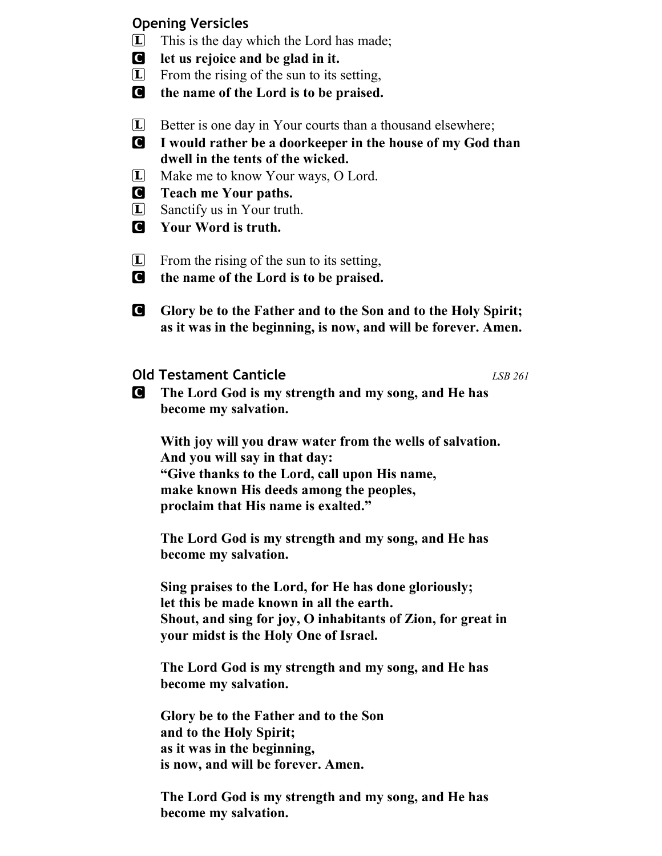# Opening Versicles

- $\Box$  This is the day which the Lord has made;
- C let us rejoice and be glad in it.
- L From the rising of the sun to its setting,
- C the name of the Lord is to be praised.
- $\Box$  Better is one day in Your courts than a thousand elsewhere;
- C I would rather be a doorkeeper in the house of my God than dwell in the tents of the wicked.
- L Make me to know Your ways, O Lord.
- C Teach me Your paths.
- L Sanctify us in Your truth.
- C Your Word is truth.
- $\Box$  From the rising of the sun to its setting,
- C the name of the Lord is to be praised.
- **C** Glory be to the Father and to the Son and to the Holy Spirit; as it was in the beginning, is now, and will be forever. Amen.
- **Old Testament Canticle LSB 261**

C The Lord God is my strength and my song, and He has become my salvation.

With joy will you draw water from the wells of salvation. And you will say in that day: "Give thanks to the Lord, call upon His name, make known His deeds among the peoples, proclaim that His name is exalted."

The Lord God is my strength and my song, and He has become my salvation.

Sing praises to the Lord, for He has done gloriously; let this be made known in all the earth. Shout, and sing for joy, O inhabitants of Zion, for great in your midst is the Holy One of Israel.

The Lord God is my strength and my song, and He has become my salvation.

Glory be to the Father and to the Son and to the Holy Spirit; as it was in the beginning, is now, and will be forever. Amen.

The Lord God is my strength and my song, and He has become my salvation.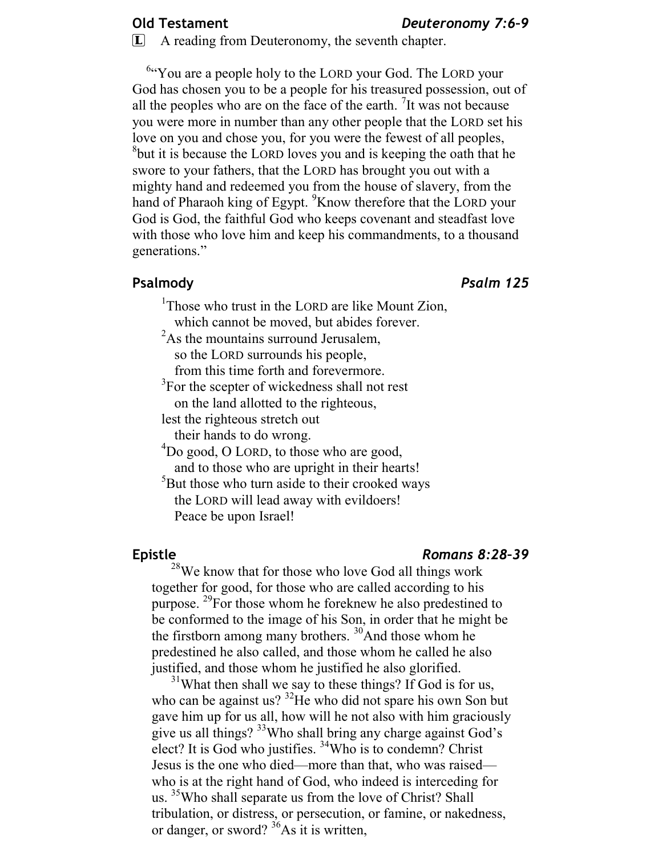#### Old Testament Deuteronomy 7:6-9

L A reading from Deuteronomy, the seventh chapter.

<sup>6</sup> You are a people holy to the LORD your God. The LORD your God has chosen you to be a people for his treasured possession, out of all the peoples who are on the face of the earth.  $\frac{7}{1}$ It was not because you were more in number than any other people that the LORD set his love on you and chose you, for you were the fewest of all peoples, <sup>8</sup>but it is because the LORD loves you and is keeping the oath that he swore to your fathers, that the LORD has brought you out with a mighty hand and redeemed you from the house of slavery, from the hand of Pharaoh king of Egypt. <sup>9</sup>Know therefore that the LORD your God is God, the faithful God who keeps covenant and steadfast love with those who love him and keep his commandments, to a thousand generations."

#### Psalmody **Properties Access Psalm 125**

<sup>1</sup>Those who trust in the LORD are like Mount Zion, which cannot be moved, but abides forever.

- $2A$ s the mountains surround Jerusalem, so the LORD surrounds his people,
	- from this time forth and forevermore.
- <sup>3</sup>For the scepter of wickedness shall not rest
	- on the land allotted to the righteous,
- lest the righteous stretch out
	- their hands to do wrong.
- <sup>4</sup>Do good, O LORD, to those who are good, and to those who are upright in their hearts!
- <sup>5</sup>But those who turn aside to their crooked ways the LORD will lead away with evildoers! Peace be upon Israel!

#### Epistle Romans 8:28–39

 $28$ We know that for those who love God all things work together for good, for those who are called according to his purpose. <sup>29</sup>For those whom he foreknew he also predestined to be conformed to the image of his Son, in order that he might be the firstborn among many brothers.  $30$ And those whom he predestined he also called, and those whom he called he also justified, and those whom he justified he also glorified.

 $31$ What then shall we say to these things? If God is for us, who can be against us? <sup>32</sup>He who did not spare his own Son but gave him up for us all, how will he not also with him graciously give us all things? <sup>33</sup>Who shall bring any charge against God's elect? It is God who justifies. <sup>34</sup>Who is to condemn? Christ Jesus is the one who died—more than that, who was raised who is at the right hand of God, who indeed is interceding for us. <sup>35</sup>Who shall separate us from the love of Christ? Shall tribulation, or distress, or persecution, or famine, or nakedness, or danger, or sword?  $^{36}$ As it is written,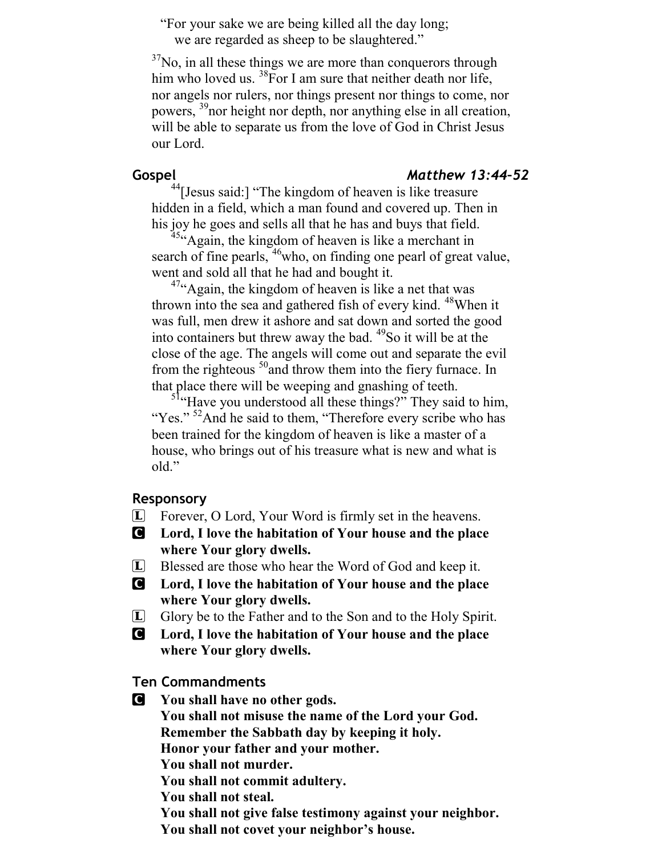"For your sake we are being killed all the day long; we are regarded as sheep to be slaughtered."

 $37$ No, in all these things we are more than conquerors through him who loved us.  ${}^{38}$ For I am sure that neither death nor life, nor angels nor rulers, nor things present nor things to come, nor powers, <sup>39</sup>nor height nor depth, nor anything else in all creation, will be able to separate us from the love of God in Christ Jesus our Lord.

### Gospel Matthew 13:44-52

 $^{44}$ [Jesus said:] "The kingdom of heaven is like treasure hidden in a field, which a man found and covered up. Then in his joy he goes and sells all that he has and buys that field.

<sup>45</sup> Again, the kingdom of heaven is like a merchant in search of fine pearls, <sup>46</sup>who, on finding one pearl of great value, went and sold all that he had and bought it.

 $4\%$ Again, the kingdom of heaven is like a net that was thrown into the sea and gathered fish of every kind. <sup>48</sup>When it was full, men drew it ashore and sat down and sorted the good into containers but threw away the bad.  $49$ So it will be at the close of the age. The angels will come out and separate the evil from the righteous  $50$  and throw them into the fiery furnace. In that place there will be weeping and gnashing of teeth.

<sup>51</sup>"Have you understood all these things?" They said to him, "Yes." <sup>52</sup>And he said to them, "Therefore every scribe who has been trained for the kingdom of heaven is like a master of a house, who brings out of his treasure what is new and what is old."

#### Responsory

- L Forever, O Lord, Your Word is firmly set in the heavens.
- C Lord, I love the habitation of Your house and the place where Your glory dwells.
- L Blessed are those who hear the Word of God and keep it.
- C Lord, I love the habitation of Your house and the place where Your glory dwells.
- L Glory be to the Father and to the Son and to the Holy Spirit.
- C Lord, I love the habitation of Your house and the place where Your glory dwells.

Ten Commandments

C You shall have no other gods. You shall not misuse the name of the Lord your God. Remember the Sabbath day by keeping it holy. Honor your father and your mother. You shall not murder. You shall not commit adultery. You shall not steal. You shall not give false testimony against your neighbor. You shall not covet your neighbor's house.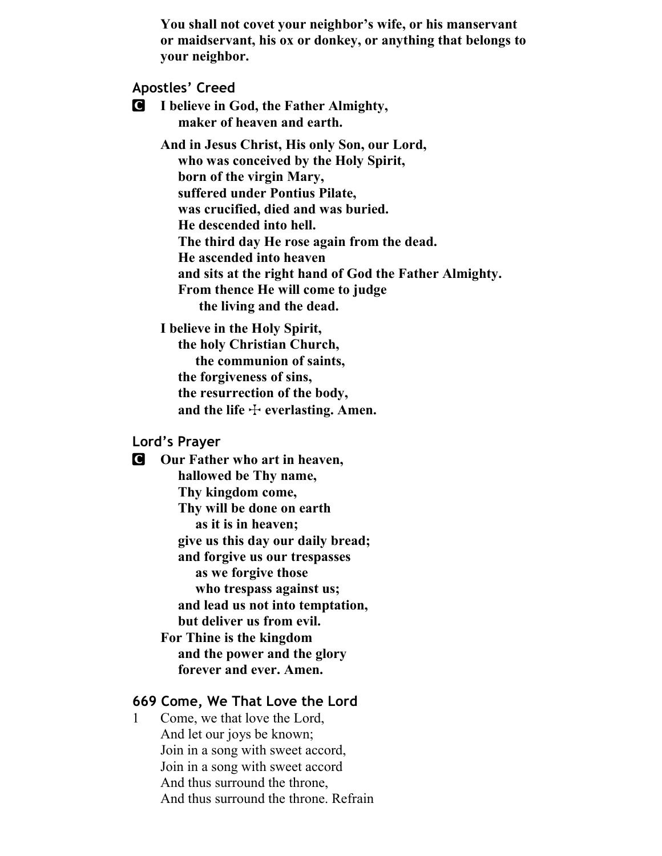You shall not covet your neighbor's wife, or his manservant or maidservant, his ox or donkey, or anything that belongs to your neighbor.

### Apostles' Creed

C I believe in God, the Father Almighty, maker of heaven and earth.

> And in Jesus Christ, His only Son, our Lord, who was conceived by the Holy Spirit, born of the virgin Mary, suffered under Pontius Pilate, was crucified, died and was buried. He descended into hell. The third day He rose again from the dead. He ascended into heaven and sits at the right hand of God the Father Almighty. From thence He will come to judge the living and the dead.

I believe in the Holy Spirit,

 the holy Christian Church, the communion of saints, the forgiveness of sins, the resurrection of the body, and the life  $\div$  everlasting. Amen.

# Lord's Prayer

**C** Our Father who art in heaven, hallowed be Thy name, Thy kingdom come, Thy will be done on earth as it is in heaven; give us this day our daily bread; and forgive us our trespasses as we forgive those who trespass against us; and lead us not into temptation, but deliver us from evil. For Thine is the kingdom and the power and the glory forever and ever. Amen.

### 669 Come, We That Love the Lord

1 Come, we that love the Lord, And let our joys be known; Join in a song with sweet accord, Join in a song with sweet accord And thus surround the throne, And thus surround the throne. Refrain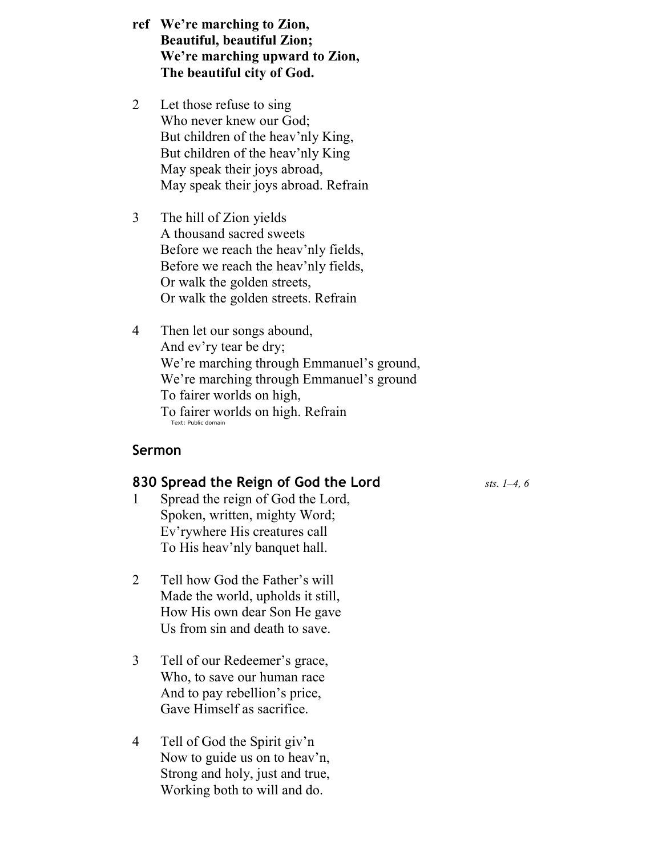- ref We're marching to Zion, Beautiful, beautiful Zion; We're marching upward to Zion, The beautiful city of God.
- 2 Let those refuse to sing Who never knew our God; But children of the heav'nly King, But children of the heav'nly King May speak their joys abroad, May speak their joys abroad. Refrain
- 3 The hill of Zion yields A thousand sacred sweets Before we reach the heav'nly fields, Before we reach the heav'nly fields, Or walk the golden streets, Or walk the golden streets. Refrain
- 4 Then let our songs abound, And ev'ry tear be dry; We're marching through Emmanuel's ground, We're marching through Emmanuel's ground To fairer worlds on high, To fairer worlds on high. Refrain Text: Public domain

#### Sermon

#### 830 Spread the Reign of God the Lord  $_{sts.}$   $_{1-4, 6}$

- 1 Spread the reign of God the Lord, Spoken, written, mighty Word; Ev'rywhere His creatures call To His heav'nly banquet hall.
- 2 Tell how God the Father's will Made the world, upholds it still, How His own dear Son He gave Us from sin and death to save.
- 3 Tell of our Redeemer's grace, Who, to save our human race And to pay rebellion's price, Gave Himself as sacrifice.
- 4 Tell of God the Spirit giv'n Now to guide us on to heav'n, Strong and holy, just and true, Working both to will and do.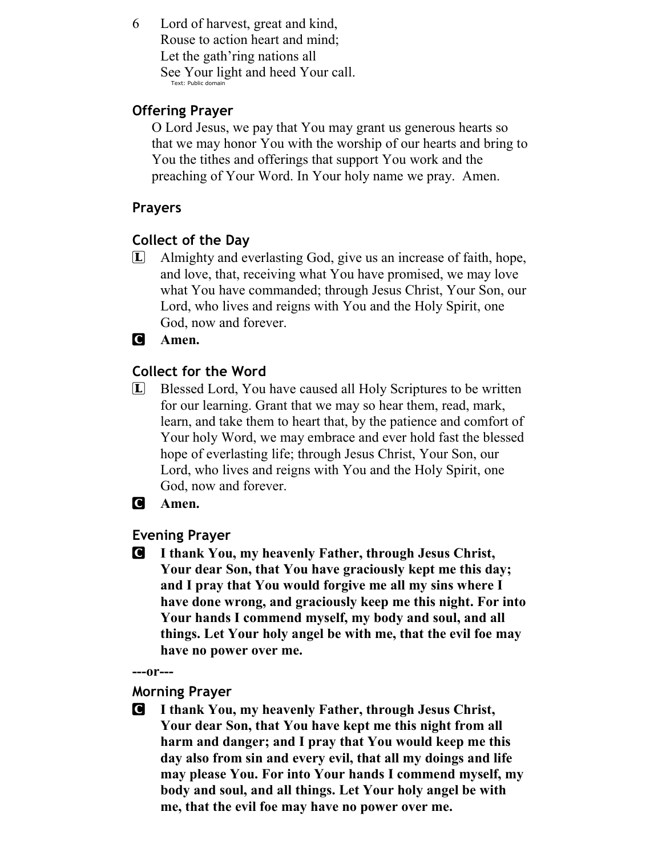6 Lord of harvest, great and kind, Rouse to action heart and mind; Let the gath'ring nations all See Your light and heed Your call. Text: Public domain

# Offering Prayer

O Lord Jesus, we pay that You may grant us generous hearts so that we may honor You with the worship of our hearts and bring to You the tithes and offerings that support You work and the preaching of Your Word. In Your holy name we pray. Amen.

# Prayers

# Collect of the Day

L Almighty and everlasting God, give us an increase of faith, hope, and love, that, receiving what You have promised, we may love what You have commanded; through Jesus Christ, Your Son, our Lord, who lives and reigns with You and the Holy Spirit, one God, now and forever.

# **C** Amen.

# Collect for the Word

L Blessed Lord, You have caused all Holy Scriptures to be written for our learning. Grant that we may so hear them, read, mark, learn, and take them to heart that, by the patience and comfort of Your holy Word, we may embrace and ever hold fast the blessed hope of everlasting life; through Jesus Christ, Your Son, our Lord, who lives and reigns with You and the Holy Spirit, one God, now and forever.

# **C** Amen.

## Evening Prayer

C I thank You, my heavenly Father, through Jesus Christ, Your dear Son, that You have graciously kept me this day; and I pray that You would forgive me all my sins where I have done wrong, and graciously keep me this night. For into Your hands I commend myself, my body and soul, and all things. Let Your holy angel be with me, that the evil foe may have no power over me.

---or---

### Morning Prayer

C I thank You, my heavenly Father, through Jesus Christ, Your dear Son, that You have kept me this night from all harm and danger; and I pray that You would keep me this day also from sin and every evil, that all my doings and life may please You. For into Your hands I commend myself, my body and soul, and all things. Let Your holy angel be with me, that the evil foe may have no power over me.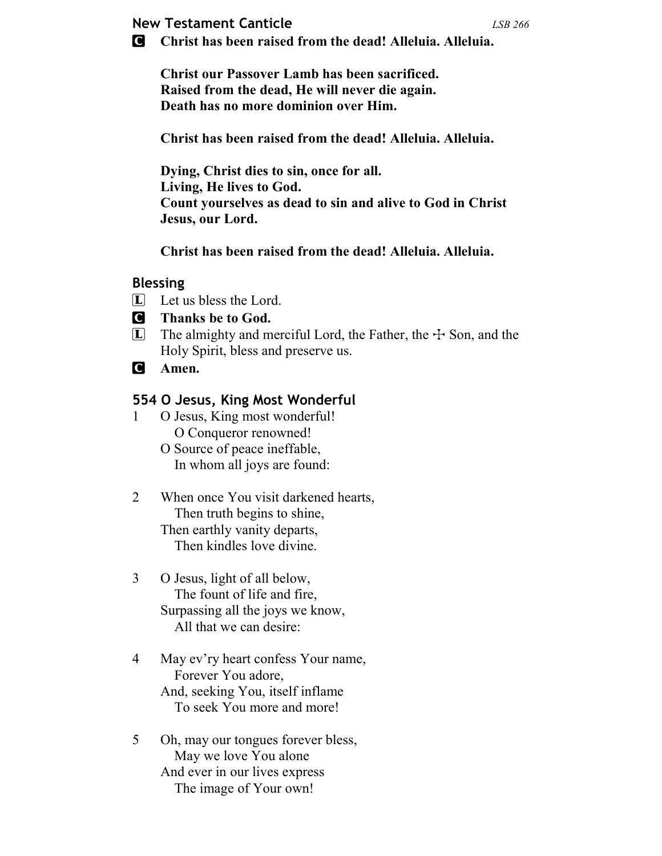# **New Testament Canticle** Contract Canticle CONSERVIES Assessment CONSERVIES ASSESSMENT ASSESSMENT ASSESSMENT ASSESSMENT ASSESSMENT ASSESSMENT ASSESSMENT ASSESSMENT AND THE USB 266 AM AND THE USB 266 AM AND THE USB 266 AM A

C Christ has been raised from the dead! Alleluia. Alleluia.

Christ our Passover Lamb has been sacrificed. Raised from the dead, He will never die again. Death has no more dominion over Him.

Christ has been raised from the dead! Alleluia. Alleluia.

Dying, Christ dies to sin, once for all. Living, He lives to God. Count yourselves as dead to sin and alive to God in Christ Jesus, our Lord.

Christ has been raised from the dead! Alleluia. Alleluia.

### Blessing

- L Let us bless the Lord.
- C Thanks be to God.
- $\Box$  The almighty and merciful Lord, the Father, the  $\div$  Son, and the Holy Spirit, bless and preserve us.
- **C** Amen.

# 554 O Jesus, King Most Wonderful

- 1 O Jesus, King most wonderful! O Conqueror renowned!
	- O Source of peace ineffable, In whom all joys are found:
- 2 When once You visit darkened hearts, Then truth begins to shine, Then earthly vanity departs, Then kindles love divine.
- 3 O Jesus, light of all below, The fount of life and fire, Surpassing all the joys we know, All that we can desire:
- 4 May ev'ry heart confess Your name, Forever You adore, And, seeking You, itself inflame To seek You more and more!
- 5 Oh, may our tongues forever bless, May we love You alone And ever in our lives express The image of Your own!